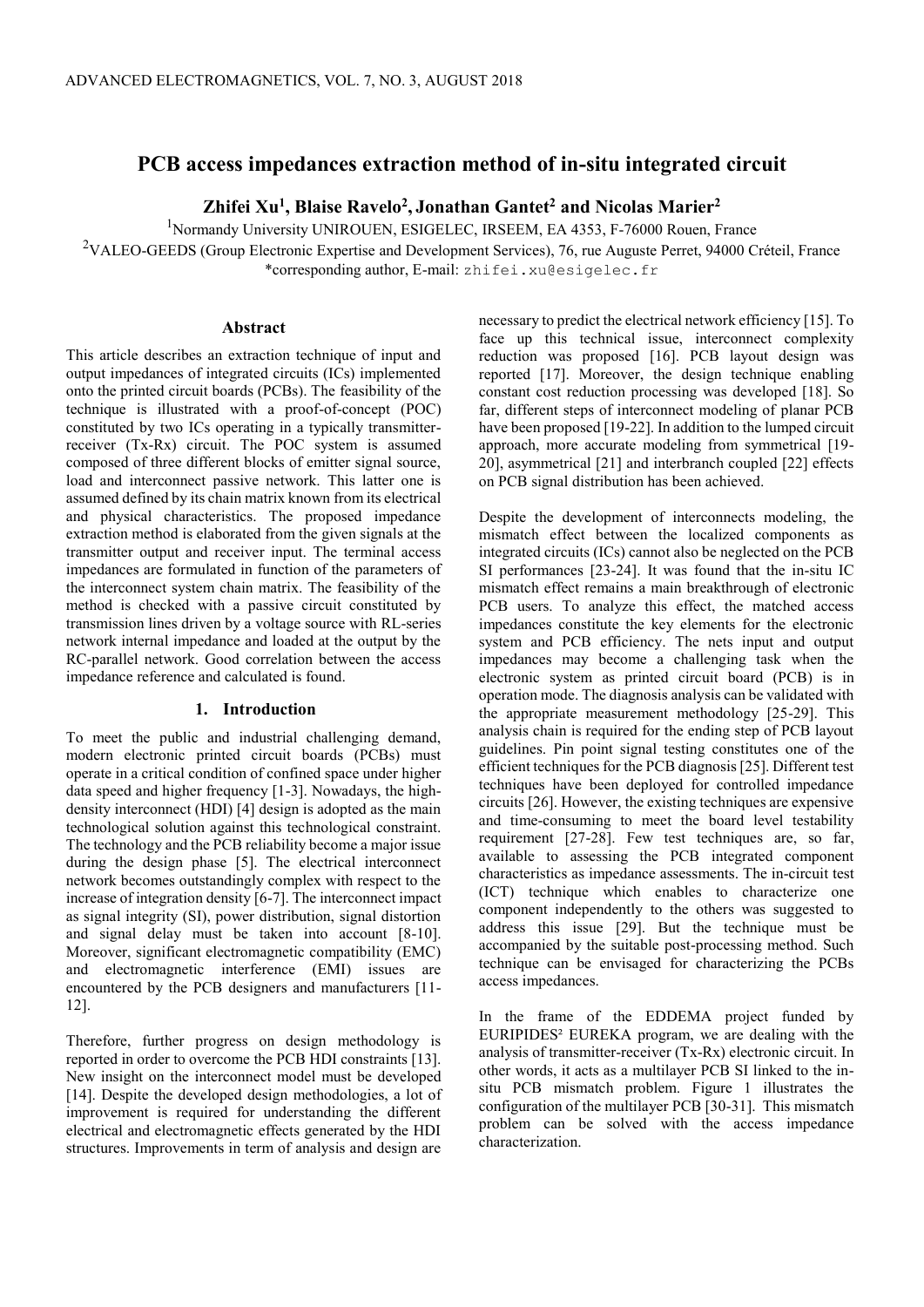# **PCB access impedances extraction method of in-situ integrated circuit**

**Zhifei Xu<sup>1</sup> , Blaise Ravelo<sup>2</sup> , Jonathan Gantet<sup>2</sup> and Nicolas Marier<sup>2</sup>**

<sup>1</sup>Normandy University UNIROUEN, ESIGELEC, IRSEEM, EA 4353, F-76000 Rouen, France <sup>2</sup>VALEO-GEEDS (Group Electronic Expertise and Development Services), 76, rue Auguste Perret, 94000 Créteil, France \*corresponding author, E-mail: zhifei.xu@esigelec.fr

# **Abstract**

This article describes an extraction technique of input and output impedances of integrated circuits (ICs) implemented onto the printed circuit boards (PCBs). The feasibility of the technique is illustrated with a proof-of-concept (POC) constituted by two ICs operating in a typically transmitterreceiver (Tx-Rx) circuit. The POC system is assumed composed of three different blocks of emitter signal source, load and interconnect passive network. This latter one is assumed defined by its chain matrix known from its electrical and physical characteristics. The proposed impedance extraction method is elaborated from the given signals at the transmitter output and receiver input. The terminal access impedances are formulated in function of the parameters of the interconnect system chain matrix. The feasibility of the method is checked with a passive circuit constituted by transmission lines driven by a voltage source with RL-series network internal impedance and loaded at the output by the RC-parallel network. Good correlation between the access impedance reference and calculated is found.

## **1. Introduction**

To meet the public and industrial challenging demand, modern electronic printed circuit boards (PCBs) must operate in a critical condition of confined space under higher data speed and higher frequency [1-3]. Nowadays, the highdensity interconnect (HDI) [4] design is adopted as the main technological solution against this technological constraint. The technology and the PCB reliability become a major issue during the design phase [5]. The electrical interconnect network becomes outstandingly complex with respect to the increase of integration density [6-7]. The interconnect impact as signal integrity (SI), power distribution, signal distortion and signal delay must be taken into account [8-10]. Moreover, significant electromagnetic compatibility (EMC) and electromagnetic interference (EMI) issues are encountered by the PCB designers and manufacturers [11- 12].

Therefore, further progress on design methodology is reported in order to overcome the PCB HDI constraints [13]. New insight on the interconnect model must be developed [14]. Despite the developed design methodologies, a lot of improvement is required for understanding the different electrical and electromagnetic effects generated by the HDI structures. Improvements in term of analysis and design are

necessary to predict the electrical network efficiency [15]. To face up this technical issue, interconnect complexity reduction was proposed [16]. PCB layout design was reported [17]. Moreover, the design technique enabling constant cost reduction processing was developed [18]. So far, different steps of interconnect modeling of planar PCB have been proposed [19-22]. In addition to the lumped circuit approach, more accurate modeling from symmetrical [19- 20], asymmetrical [21] and interbranch coupled [22] effects on PCB signal distribution has been achieved.

Despite the development of interconnects modeling, the mismatch effect between the localized components as integrated circuits (ICs) cannot also be neglected on the PCB SI performances [23-24]. It was found that the in-situ IC mismatch effect remains a main breakthrough of electronic PCB users. To analyze this effect, the matched access impedances constitute the key elements for the electronic system and PCB efficiency. The nets input and output impedances may become a challenging task when the electronic system as printed circuit board (PCB) is in operation mode. The diagnosis analysis can be validated with the appropriate measurement methodology [25-29]. This analysis chain is required for the ending step of PCB layout guidelines. Pin point signal testing constitutes one of the efficient techniques for the PCB diagnosis [25]. Different test techniques have been deployed for controlled impedance circuits [26]. However, the existing techniques are expensive and time-consuming to meet the board level testability requirement [27-28]. Few test techniques are, so far, available to assessing the PCB integrated component characteristics as impedance assessments. The in-circuit test (ICT) technique which enables to characterize one component independently to the others was suggested to address this issue [29]. But the technique must be accompanied by the suitable post-processing method. Such technique can be envisaged for characterizing the PCBs access impedances.

In the frame of the EDDEMA project funded by EURIPIDES² EUREKA program, we are dealing with the analysis of transmitter-receiver (Tx-Rx) electronic circuit. In other words, it acts as a multilayer PCB SI linked to the insitu PCB mismatch problem. Figure 1 illustrates the configuration of the multilayer PCB [30-31]. This mismatch problem can be solved with the access impedance characterization.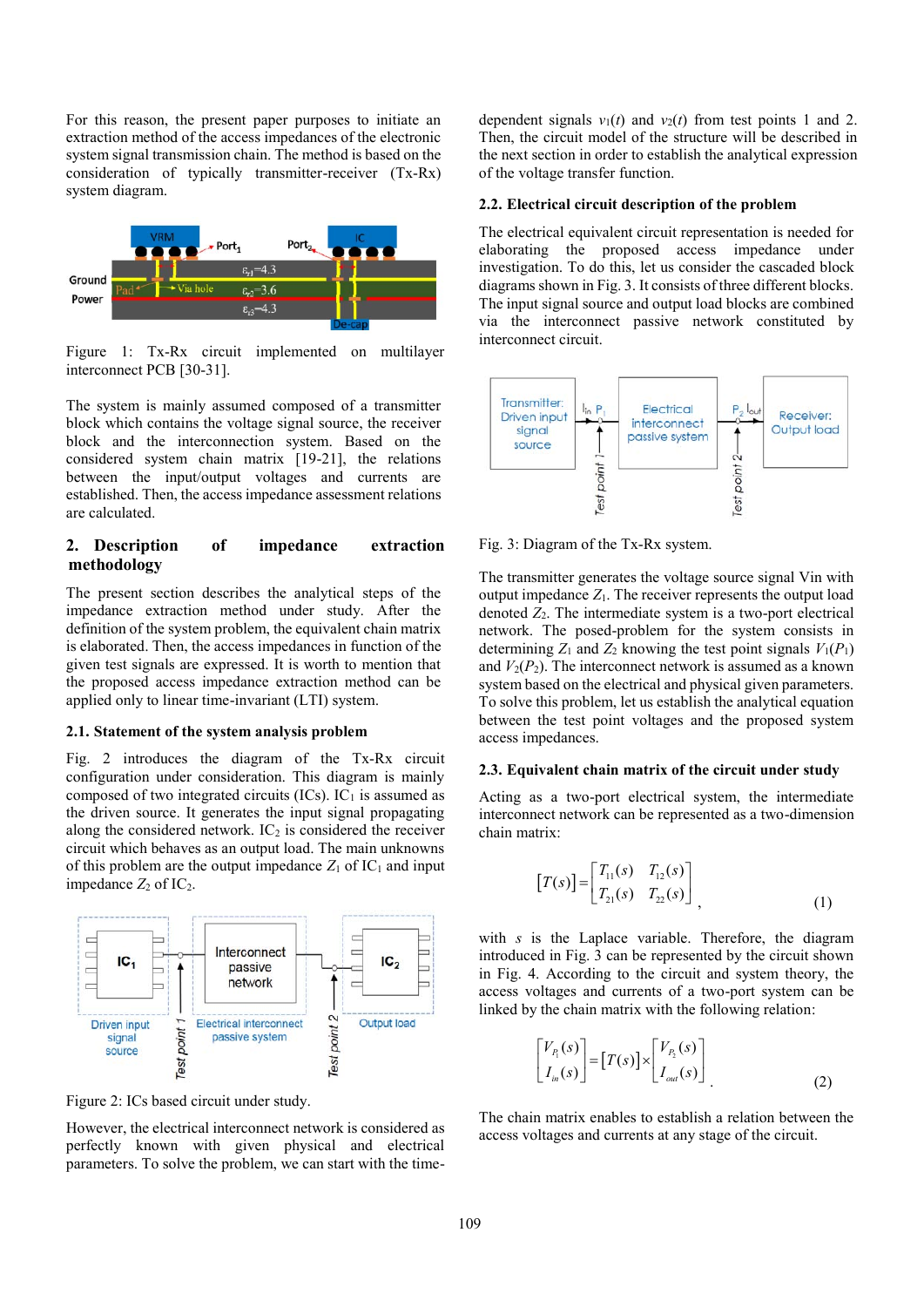For this reason, the present paper purposes to initiate an extraction method of the access impedances of the electronic system signal transmission chain. The method is based on the consideration of typically transmitter-receiver (Tx-Rx) system diagram.



Figure 1: Tx-Rx circuit implemented on multilayer interconnect PCB [30-31].

The system is mainly assumed composed of a transmitter block which contains the voltage signal source, the receiver block and the interconnection system. Based on the considered system chain matrix [19-21], the relations between the input/output voltages and currents are established. Then, the access impedance assessment relations are calculated.

# **2. Description of impedance extraction methodology**

The present section describes the analytical steps of the impedance extraction method under study. After the definition of the system problem, the equivalent chain matrix is elaborated. Then, the access impedances in function of the given test signals are expressed. It is worth to mention that the proposed access impedance extraction method can be applied only to linear time-invariant (LTI) system.

## **2.1. Statement of the system analysis problem**

Fig. 2 introduces the diagram of the Tx-Rx circuit configuration under consideration. This diagram is mainly composed of two integrated circuits  $(ICs)$ .  $IC<sub>1</sub>$  is assumed as the driven source. It generates the input signal propagating along the considered network.  $IC<sub>2</sub>$  is considered the receiver circuit which behaves as an output load. The main unknowns of this problem are the output impedance  $Z_1$  of  $IC_1$  and input impedance  $Z_2$  of  $IC_2$ .



Figure 2: ICs based circuit under study.

However, the electrical interconnect network is considered as perfectly known with given physical and electrical parameters. To solve the problem, we can start with the timedependent signals  $v_1(t)$  and  $v_2(t)$  from test points 1 and 2. Then, the circuit model of the structure will be described in the next section in order to establish the analytical expression of the voltage transfer function.

### **2.2. Electrical circuit description of the problem**

The electrical equivalent circuit representation is needed for elaborating the proposed access impedance under investigation. To do this, let us consider the cascaded block diagrams shown in Fig. 3. It consists of three different blocks. The input signal source and output load blocks are combined via the interconnect passive network constituted by interconnect circuit.



Fig. 3: Diagram of the Tx-Rx system.

The transmitter generates the voltage source signal Vin with output impedance  $Z_1$ . The receiver represents the output load denoted *Z*2. The intermediate system is a two-port electrical network. The posed-problem for the system consists in determining  $Z_1$  and  $Z_2$  knowing the test point signals  $V_1(P_1)$ and  $V_2(P_2)$ . The interconnect network is assumed as a known system based on the electrical and physical given parameters. To solve this problem, let us establish the analytical equation between the test point voltages and the proposed system access impedances.

#### **2.3. Equivalent chain matrix of the circuit under study**

Acting as a two-port electrical system, the intermediate interconnect network can be represented as a two-dimension chain matrix:

$$
[T(s)] = \begin{bmatrix} T_{11}(s) & T_{12}(s) \\ T_{21}(s) & T_{22}(s) \end{bmatrix},
$$
 (1)

with *s* is the Laplace variable. Therefore, the diagram introduced in Fig. 3 can be represented by the circuit shown in Fig. 4. According to the circuit and system theory, the access voltages and currents of a two-port system can be linked by the chain matrix with the following relation:

$$
\begin{bmatrix} V_{P_1}(s) \\ I_{in}(s) \end{bmatrix} = [T(s)] \times \begin{bmatrix} V_{P_2}(s) \\ I_{out}(s) \end{bmatrix}
$$
 (2)

The chain matrix enables to establish a relation between the access voltages and currents at any stage of the circuit.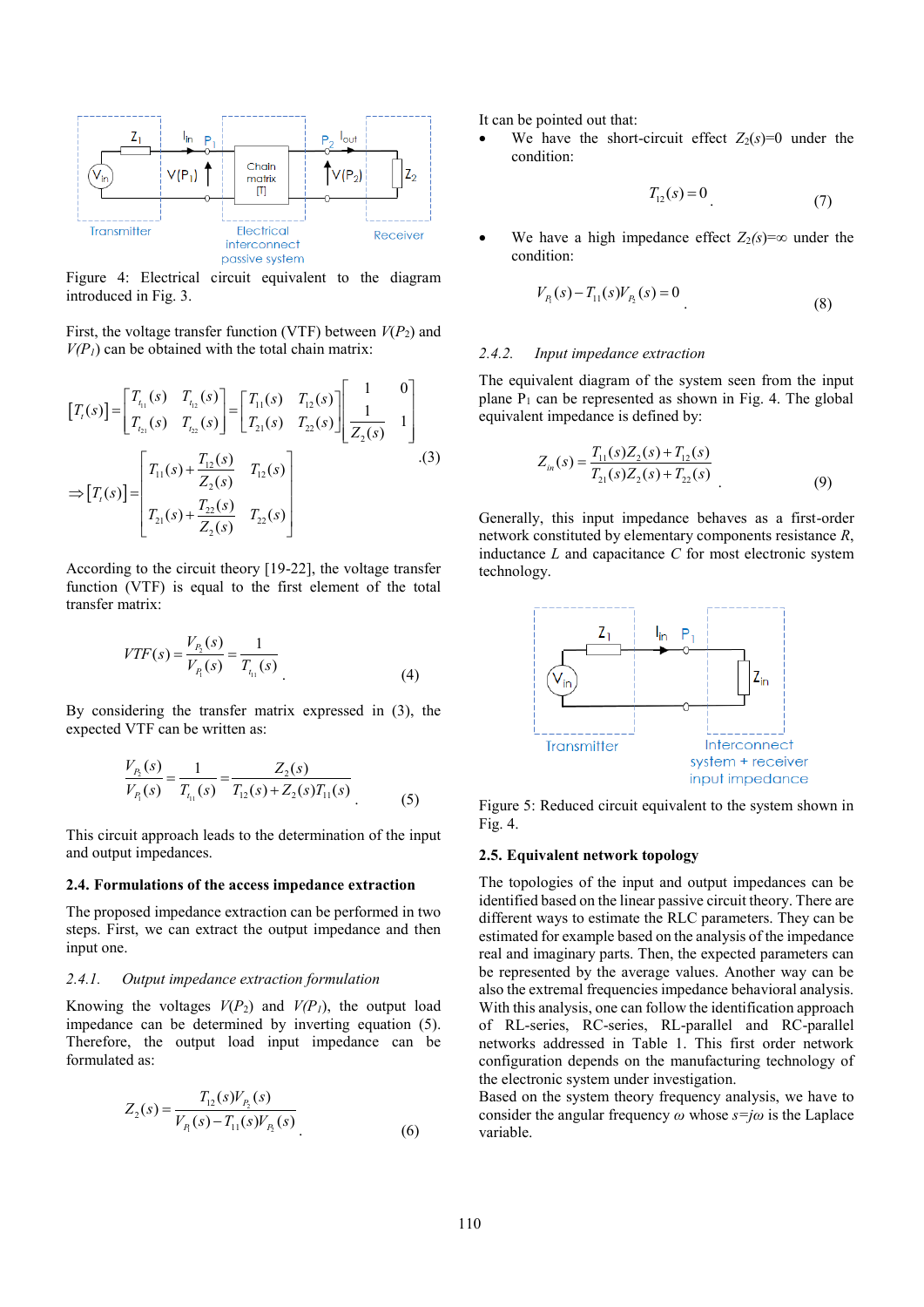

Figure 4: Electrical circuit equivalent to the diagram introduced in Fig. 3.

First, the voltage transfer function (VTF) between  $V(P_2)$  and  $V(P_I)$  can be obtained with the total chain matrix:

$$
[T_{\ell}(s)] = \begin{bmatrix} T_{t_{11}}(s) & T_{t_{12}}(s) \\ T_{t_{21}}(s) & T_{t_{22}}(s) \end{bmatrix} = \begin{bmatrix} T_{11}(s) & T_{12}(s) \\ T_{21}(s) & T_{22}(s) \end{bmatrix} \begin{bmatrix} 1 & 0 \\ 1 & 1 \\ \overline{Z_{2}(s)} & 1 \end{bmatrix}
$$
  
\n
$$
\Rightarrow [T_{\ell}(s)] = \begin{bmatrix} T_{11}(s) + \frac{T_{12}(s)}{Z_{2}(s)} & T_{12}(s) \\ T_{21}(s) + \frac{T_{22}(s)}{Z_{2}(s)} & T_{22}(s) \end{bmatrix}
$$
 (3)

According to the circuit theory [19-22], the voltage transfer function (VTF) is equal to the first element of the total transfer matrix:

$$
VTF(s) = \frac{V_{P_2}(s)}{V_{P_1}(s)} = \frac{1}{T_{t_{11}}(s)}
$$
\n(4)

By considering the transfer matrix expressed in (3), the expected VTF can be written as:

$$
\frac{V_{P_2}(s)}{V_{P_1}(s)} = \frac{1}{T_{t_{11}}(s)} = \frac{Z_2(s)}{T_{12}(s) + Z_2(s)T_{11}(s)}
$$
(5)

This circuit approach leads to the determination of the input and output impedances.

#### **2.4. Formulations of the access impedance extraction**

The proposed impedance extraction can be performed in two steps. First, we can extract the output impedance and then input one.

#### *2.4.1. Output impedance extraction formulation*

Knowing the voltages  $V(P_2)$  and  $V(P_1)$ , the output load impedance can be determined by inverting equation (5). Therefore, the output load input impedance can be formulated as:

$$
Z_2(s) = \frac{T_{12}(s)V_{P_2}(s)}{V_{P_1}(s) - T_{11}(s)V_{P_2}(s)}
$$
\n(6)

It can be pointed out that:

We have the short-circuit effect  $Z_2(s)=0$  under the condition:

$$
T_{12}(s) = 0
$$
 (7)

We have a high impedance effect  $Z_2(s) = \infty$  under the condition:

$$
V_{P_1}(s) - T_{11}(s)V_{P_2}(s) = 0
$$
\n(8)

#### *2.4.2. Input impedance extraction*

The equivalent diagram of the system seen from the input plane  $P_1$  can be represented as shown in Fig. 4. The global equivalent impedance is defined by:

$$
Z_{in}(s) = \frac{T_{11}(s)Z_2(s) + T_{12}(s)}{T_{21}(s)Z_2(s) + T_{22}(s)}
$$
\n(9)

Generally, this input impedance behaves as a first-order network constituted by elementary components resistance *R*, inductance *L* and capacitance *C* for most electronic system technology.



Figure 5: Reduced circuit equivalent to the system shown in Fig. 4.

## **2.5. Equivalent network topology**

The topologies of the input and output impedances can be identified based on the linear passive circuit theory. There are different ways to estimate the RLC parameters. They can be estimated for example based on the analysis of the impedance real and imaginary parts. Then, the expected parameters can be represented by the average values. Another way can be also the extremal frequencies impedance behavioral analysis. With this analysis, one can follow the identification approach of RL-series, RC-series, RL-parallel and RC-parallel networks addressed in Table 1. This first order network configuration depends on the manufacturing technology of the electronic system under investigation.

Based on the system theory frequency analysis, we have to consider the angular frequency *ω* whose *s=jω* is the Laplace variable.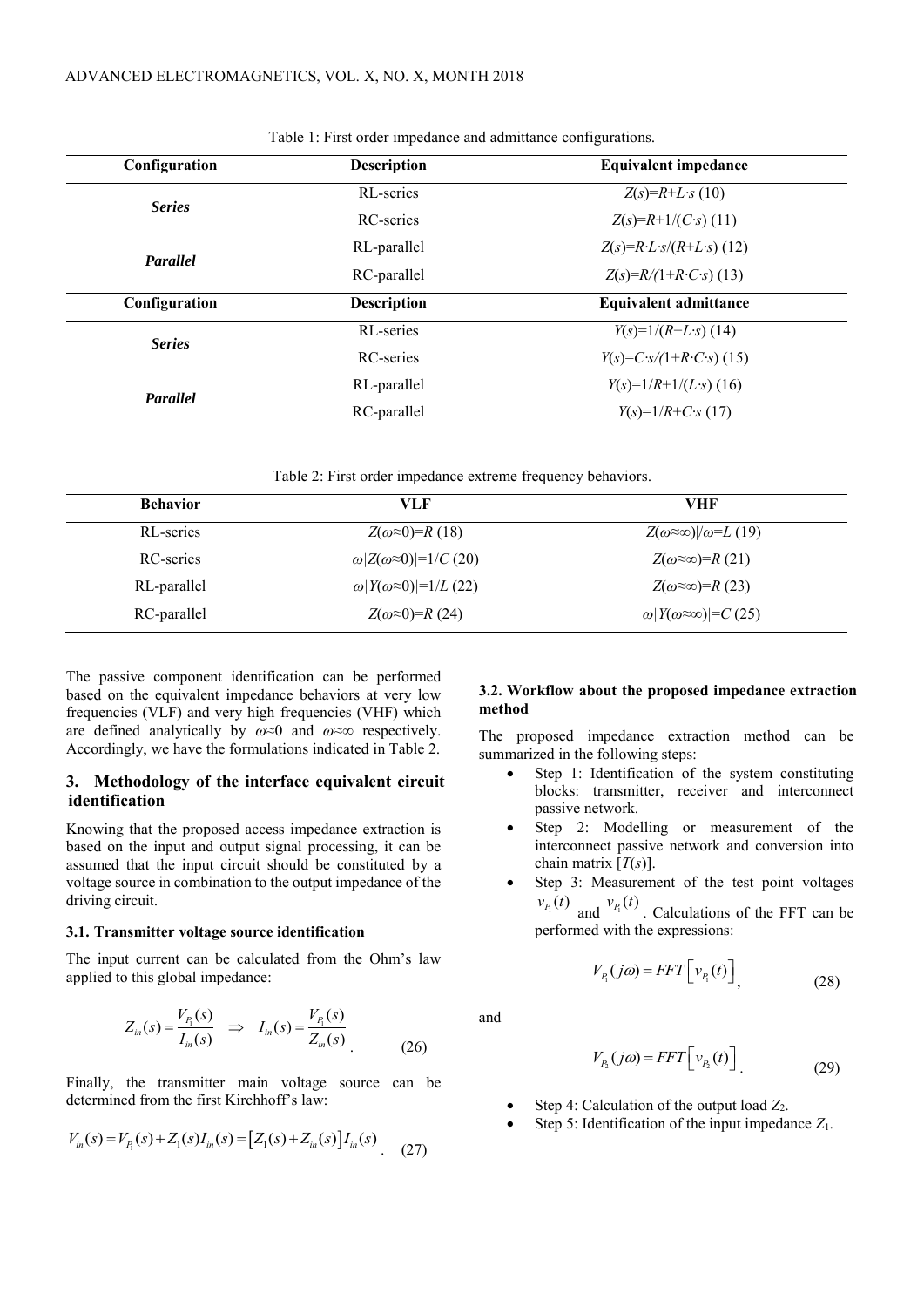| Configuration | <b>Description</b> | <b>Equivalent impedance</b>                       |  |
|---------------|--------------------|---------------------------------------------------|--|
| <b>Series</b> | RL-series          | $Z(s)=R+L\cdot s(10)$                             |  |
|               | <b>RC</b> -series  | $Z(s)=R+1/(C\cdot s)$ (11)                        |  |
| Parallel      | RL-parallel        | $Z(s)=R \cdot L \cdot s/(R+L \cdot s)$ (12)       |  |
|               | RC-parallel        | $Z(s)=R/(1+R\cdot C\cdot s)$ (13)                 |  |
| Configuration | <b>Description</b> | <b>Equivalent admittance</b>                      |  |
| <b>Series</b> | RL-series          | $Y(s)=1/(R+L\cdot s)$ (14)                        |  |
|               | <b>RC</b> -series  | $Y(s) = C \cdot s / (1 + R \cdot C \cdot s)$ (15) |  |
|               | RL-parallel        | $Y(s)=1/R+1/(L\cdot s)$ (16)                      |  |
| Parallel      |                    |                                                   |  |
|               | RC-parallel        | $Y(s)=1/R+C_{S}(17)$                              |  |

Table 1: First order impedance and admittance configurations.

| Table 2: First order impedance extreme frequency behaviors. |  |  |  |  |  |  |
|-------------------------------------------------------------|--|--|--|--|--|--|
|-------------------------------------------------------------|--|--|--|--|--|--|

| <b>Behavior</b>                                      | VLF                                    | <b>VHF</b>                                  |
|------------------------------------------------------|----------------------------------------|---------------------------------------------|
| RL-series                                            | $Z(\omega \approx 0)=R(18)$            | $ Z(\omega \approx \infty) /\omega = L(19)$ |
| RC-series                                            | $\omega  Z(\omega \approx 0) =1/C(20)$ | $Z(\omega \approx \infty) = R(21)$          |
| $\omega Y(\omega \approx 0) =1/L(22)$<br>RL-parallel |                                        | $Z(\omega \approx \infty) = R(23)$          |
| RC-parallel                                          | $Z(\omega \approx 0) = R(24)$          | $\omega Y(\omega \approx \infty) =C(25)$    |

The passive component identification can be performed based on the equivalent impedance behaviors at very low frequencies (VLF) and very high frequencies (VHF) which are defined analytically by *ω*≈0 and *ω*≈∞ respectively. Accordingly, we have the formulations indicated in Table 2.

## **3. Methodology of the interface equivalent circuit identification**

Knowing that the proposed access impedance extraction is based on the input and output signal processing, it can be assumed that the input circuit should be constituted by a voltage source in combination to the output impedance of the driving circuit.

## **3.1. Transmitter voltage source identification**

The input current can be calculated from the Ohm's law applied to this global impedance:

$$
Z_{in}(s) = \frac{V_{P_1}(s)}{I_{in}(s)} \Rightarrow I_{in}(s) = \frac{V_{P_1}(s)}{Z_{in}(s)}
$$
(26)

Finally, the transmitter main voltage source can be

determined from the first Kirchhoff's law:  
\n
$$
V_{in}(s) = V_{P_1}(s) + Z_1(s)I_{in}(s) = [Z_1(s) + Z_{in}(s)]I_{in}(s)
$$
\n(27)

## **3.2. Workflow about the proposed impedance extraction method**

The proposed impedance extraction method can be summarized in the following steps:

- Step 1: Identification of the system constituting blocks: transmitter, receiver and interconnect passive network.
- Step 2: Modelling or measurement of the interconnect passive network and conversion into chain matrix  $[T(s)]$ .
- Step 3: Measurement of the test point voltages  $v_{P_1}(t)$  and  $v_{P_1}(t)$ . Calculations of the FFT can be performed with the expressions:

$$
V_{P_1}(j\omega) = FFT\Big[v_{P_1}(t)\Big]_{\gamma}
$$
\n(28)

and

$$
V_{P_2}(j\omega) = FFT\Big[v_{P_2}(t)\Big]
$$
\n(29)

- Step 4: Calculation of the output load *Z*2.
- Step 5: Identification of the input impedance  $Z_1$ .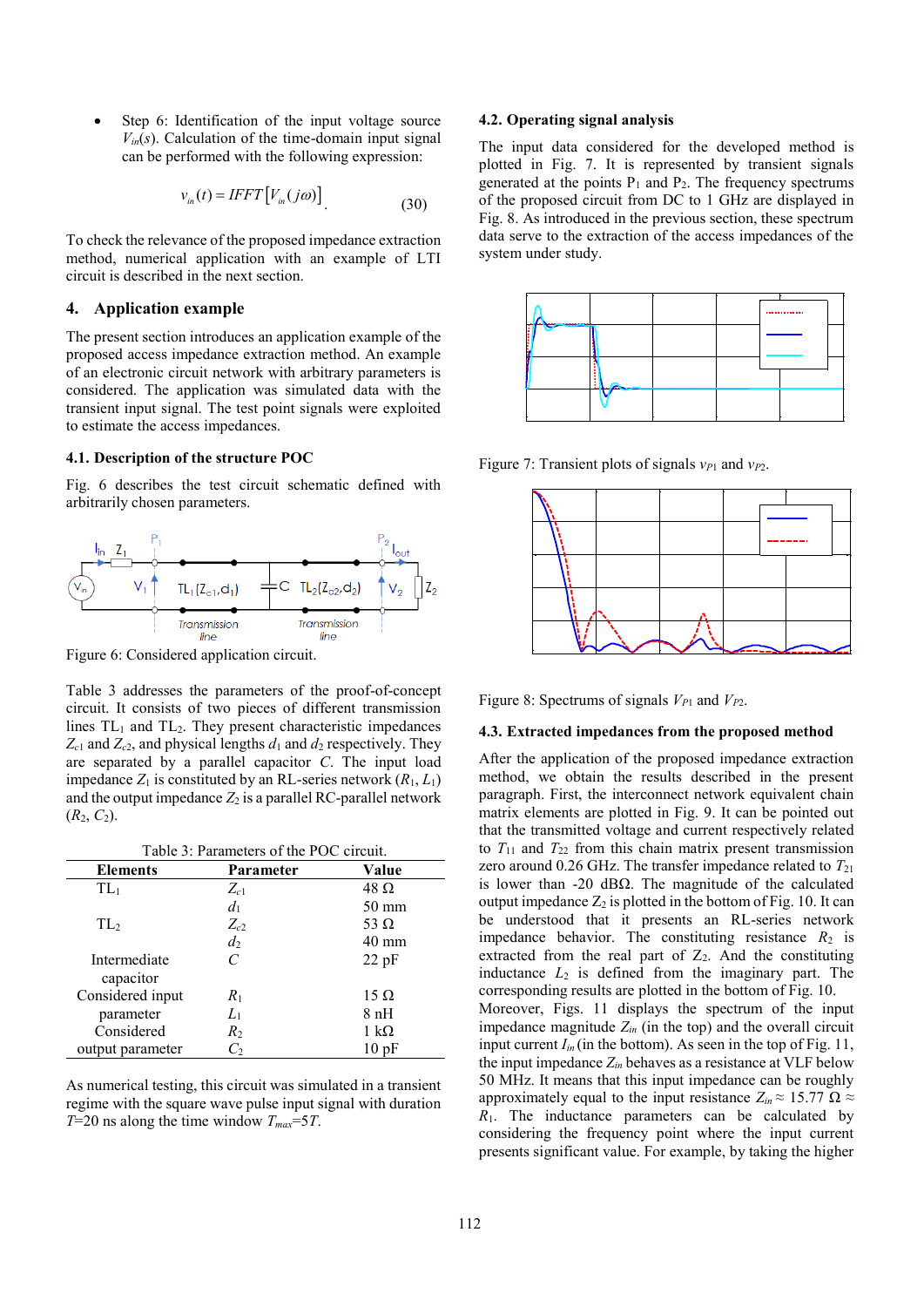Step 6: Identification of the input voltage source  $V_{in}(s)$ . Calculation of the time-domain input signal can be performed with the following expression:

$$
v_{in}(t) = IFFT[V_{in}(j\omega)]
$$
\n(30)

To check the relevance of the proposed impedance extraction method, numerical application with an example of LTI circuit is described in the next section.

## **4. Application example**

The present section introduces an application example of the proposed access impedance extraction method. An example of an electronic circuit network with arbitrary parameters is considered. The application was simulated data with the transient input signal. The test point signals were exploited to estimate the access impedances.

#### **4.1. Description of the structure POC**

Fig. 6 describes the test circuit schematic defined with arbitrarily chosen parameters.



Figure 6: Considered application circuit.

Table 3 addresses the parameters of the proof-of-concept circuit. It consists of two pieces of different transmission lines  $TL_1$  and  $TL_2$ . They present characteristic impedances  $Z_{c1}$  and  $Z_{c2}$ , and physical lengths  $d_1$  and  $d_2$  respectively. They are separated by a parallel capacitor *C*. The input load impedance  $Z_1$  is constituted by an RL-series network  $(R_1, L_1)$ and the output impedance  $Z_2$  is a parallel RC-parallel network  $(R_2, C_2)$ .

| <b>Elements</b>  | Parameter | Value               |
|------------------|-----------|---------------------|
| $TL_1$           | $Z_{c1}$  | $48 \Omega$         |
|                  | $d_1$     | $50 \text{ mm}$     |
| TL <sub>2</sub>  | $Z_{c2}$  | 53 $\Omega$         |
|                  | $d_2$     | $40 \text{ mm}$     |
| Intermediate     | C         | 22pF                |
| capacitor        |           |                     |
| Considered input | $R_1$     | $15 \Omega$         |
| parameter        | $L_1$     | 8 nH                |
| Considered       | $R_{2}$   | $1 \text{ k}\Omega$ |
| output parameter | $C_2$     | 10pF                |

As numerical testing, this circuit was simulated in a transient regime with the square wave pulse input signal with duration *T*=20 ns along the time window *Tmax*=5*T*.

### **4.2. Operating signal analysis**

The input data considered for the developed method is plotted in Fig. 7. It is represented by transient signals generated at the points  $P_1$  and  $P_2$ . The frequency spectrums of the proposed circuit from DC to 1 GHz are displayed in Fig. 8. As introduced in the previous section, these spectrum data serve to the extraction of the access impedances of the system under study.



Figure 7: Transient plots of signals *v<sup>P</sup>*<sup>1</sup> and *v<sup>P</sup>*2.



Figure 8: Spectrums of signals  $V_{P1}$  and  $V_{P2}$ .

#### **4.3. Extracted impedances from the proposed method**

After the application of the proposed impedance extraction method, we obtain the results described in the present paragraph. First, the interconnect network equivalent chain matrix elements are plotted in Fig. 9. It can be pointed out that the transmitted voltage and current respectively related to  $T_{11}$  and  $T_{22}$  from this chain matrix present transmission zero around 0.26 GHz. The transfer impedance related to  $T_{21}$ is lower than -20 dBΩ. The magnitude of the calculated output impedance  $Z_2$  is plotted in the bottom of Fig. 10. It can be understood that it presents an RL-series network impedance behavior. The constituting resistance  $R_2$  is extracted from the real part of  $Z_2$ . And the constituting inductance  $L_2$  is defined from the imaginary part. The corresponding results are plotted in the bottom of Fig. 10. Moreover, Figs. 11 displays the spectrum of the input impedance magnitude  $Z_{in}$  (in the top) and the overall circuit input current  $I_{in}$  (in the bottom). As seen in the top of Fig. 11, the input impedance  $Z_{in}$  behaves as a resistance at VLF below 50 MHz. It means that this input impedance can be roughly approximately equal to the input resistance  $Z_{in} \approx 15.77 \Omega \approx$  $R_1$ . The inductance parameters can be calculated by considering the frequency point where the input current presents significant value. For example, by taking the higher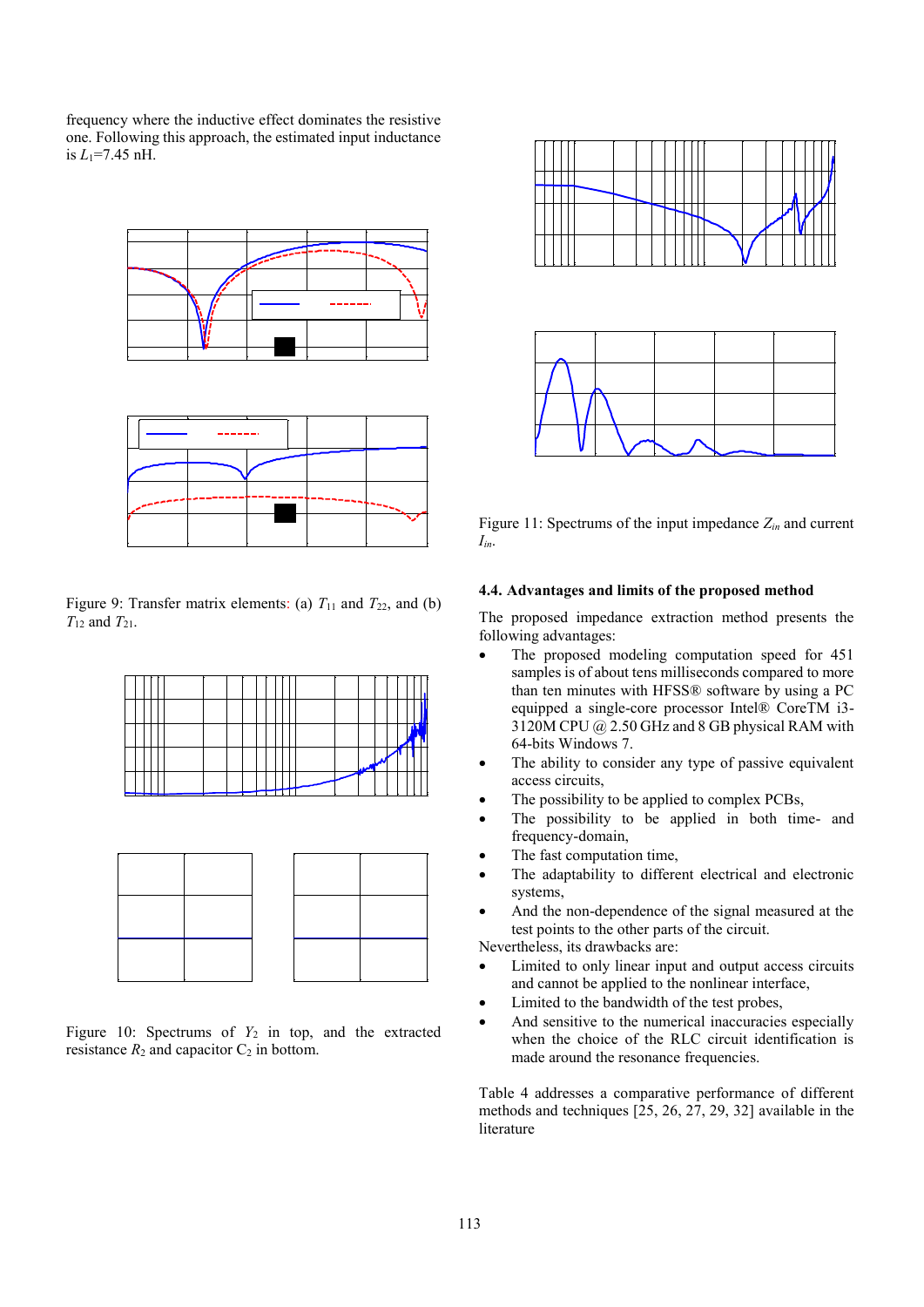frequency where the inductive effect dominates the resistive one. Following this approach, the estimated input inductance is  $L_1$ =7.45 nH.





Figure 9: Transfer matrix elements: (a)  $T_{11}$  and  $T_{22}$ , and (b) *T*<sup>12</sup> and *T*21.





Figure 10: Spectrums of  $Y_2$  in top, and the extracted resistance  $R_2$  and capacitor  $C_2$  in bottom.



Figure 11: Spectrums of the input impedance *Zin* and current *Iin*.

## **4.4. Advantages and limits of the proposed method**

The proposed impedance extraction method presents the following advantages:

- The proposed modeling computation speed for 451 samples is of about tens milliseconds compared to more than ten minutes with HFSS® software by using a PC equipped a single-core processor Intel® CoreTM i3- 3120M CPU @ 2.50 GHz and 8 GB physical RAM with 64-bits Windows 7.
- The ability to consider any type of passive equivalent access circuits,
- The possibility to be applied to complex PCBs,
- The possibility to be applied in both time- and frequency-domain,
- The fast computation time,
- The adaptability to different electrical and electronic systems,
- And the non-dependence of the signal measured at the test points to the other parts of the circuit.

Nevertheless, its drawbacks are:

- Limited to only linear input and output access circuits and cannot be applied to the nonlinear interface,
- Limited to the bandwidth of the test probes,
- And sensitive to the numerical inaccuracies especially when the choice of the RLC circuit identification is made around the resonance frequencies.

Table 4 addresses a comparative performance of different methods and techniques [25, 26, 27, 29, 32] available in the literature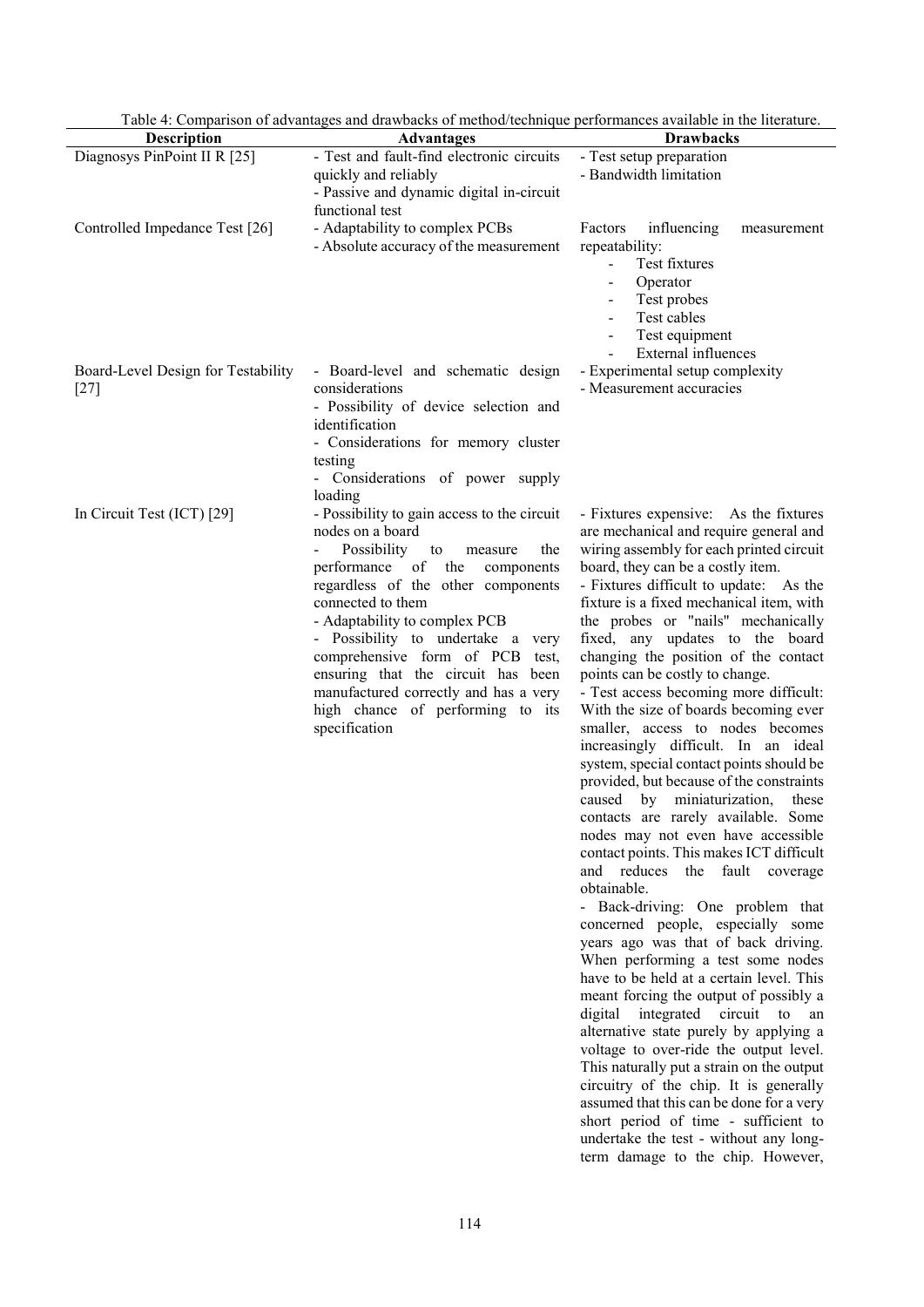|                                              | Table 4: Comparison of advantages and drawbacks of method/technique performances available in the literature.                                                                                                                                                                                                                                                                                                                                               |                                                                                                                                                                                                                                                                                                                                                                                                                                                                                                                                                                                                                                                                                                                                                                                                                                                                                                                                                                                                                                                                                                                                                                                                                                                                                                                                                                                                                                                                                                             |
|----------------------------------------------|-------------------------------------------------------------------------------------------------------------------------------------------------------------------------------------------------------------------------------------------------------------------------------------------------------------------------------------------------------------------------------------------------------------------------------------------------------------|-------------------------------------------------------------------------------------------------------------------------------------------------------------------------------------------------------------------------------------------------------------------------------------------------------------------------------------------------------------------------------------------------------------------------------------------------------------------------------------------------------------------------------------------------------------------------------------------------------------------------------------------------------------------------------------------------------------------------------------------------------------------------------------------------------------------------------------------------------------------------------------------------------------------------------------------------------------------------------------------------------------------------------------------------------------------------------------------------------------------------------------------------------------------------------------------------------------------------------------------------------------------------------------------------------------------------------------------------------------------------------------------------------------------------------------------------------------------------------------------------------------|
| <b>Description</b>                           | <b>Advantages</b>                                                                                                                                                                                                                                                                                                                                                                                                                                           | <b>Drawbacks</b>                                                                                                                                                                                                                                                                                                                                                                                                                                                                                                                                                                                                                                                                                                                                                                                                                                                                                                                                                                                                                                                                                                                                                                                                                                                                                                                                                                                                                                                                                            |
| Diagnosys PinPoint II R [25]                 | - Test and fault-find electronic circuits<br>quickly and reliably<br>- Passive and dynamic digital in-circuit<br>functional test                                                                                                                                                                                                                                                                                                                            | - Test setup preparation<br>- Bandwidth limitation                                                                                                                                                                                                                                                                                                                                                                                                                                                                                                                                                                                                                                                                                                                                                                                                                                                                                                                                                                                                                                                                                                                                                                                                                                                                                                                                                                                                                                                          |
| Controlled Impedance Test [26]               | - Adaptability to complex PCBs<br>- Absolute accuracy of the measurement                                                                                                                                                                                                                                                                                                                                                                                    | Factors<br>influencing<br>measurement<br>repeatability:<br>Test fixtures<br>Ξ.<br>Operator<br>Test probes<br>$\blacksquare$<br>Test cables<br>Test equipment<br>External influences                                                                                                                                                                                                                                                                                                                                                                                                                                                                                                                                                                                                                                                                                                                                                                                                                                                                                                                                                                                                                                                                                                                                                                                                                                                                                                                         |
| Board-Level Design for Testability<br>$[27]$ | - Board-level and schematic design<br>considerations<br>- Possibility of device selection and<br>identification<br>- Considerations for memory cluster<br>testing<br>- Considerations of power supply<br>loading                                                                                                                                                                                                                                            | - Experimental setup complexity<br>- Measurement accuracies                                                                                                                                                                                                                                                                                                                                                                                                                                                                                                                                                                                                                                                                                                                                                                                                                                                                                                                                                                                                                                                                                                                                                                                                                                                                                                                                                                                                                                                 |
| In Circuit Test (ICT) [29]                   | - Possibility to gain access to the circuit<br>nodes on a board<br>Possibility<br>the<br>to<br>measure<br>performance<br>of<br>the<br>components<br>regardless of the other components<br>connected to them<br>- Adaptability to complex PCB<br>- Possibility to undertake a very<br>comprehensive form of PCB<br>test,<br>ensuring that the circuit has been<br>manufactured correctly and has a very<br>high chance of performing to its<br>specification | - Fixtures expensive: As the fixtures<br>are mechanical and require general and<br>wiring assembly for each printed circuit<br>board, they can be a costly item.<br>- Fixtures difficult to update: As the<br>fixture is a fixed mechanical item, with<br>the probes or "nails" mechanically<br>fixed, any updates to the board<br>changing the position of the contact<br>points can be costly to change.<br>- Test access becoming more difficult:<br>With the size of boards becoming ever<br>smaller, access to nodes becomes<br>increasingly difficult. In an ideal<br>system, special contact points should be<br>provided, but because of the constraints<br>caused by miniaturization, these<br>contacts are rarely available. Some<br>nodes may not even have accessible<br>contact points. This makes ICT difficult<br>and reduces the fault coverage<br>obtainable.<br>- Back-driving: One problem that<br>concerned people, especially some<br>years ago was that of back driving.<br>When performing a test some nodes<br>have to be held at a certain level. This<br>meant forcing the output of possibly a<br>digital integrated circuit to an<br>alternative state purely by applying a<br>voltage to over-ride the output level.<br>This naturally put a strain on the output<br>circuitry of the chip. It is generally<br>assumed that this can be done for a very<br>short period of time - sufficient to<br>undertake the test - without any long-<br>term damage to the chip. However, |

Table 4: Comparison of advantages and drawbacks of method/technique performances available in the literature.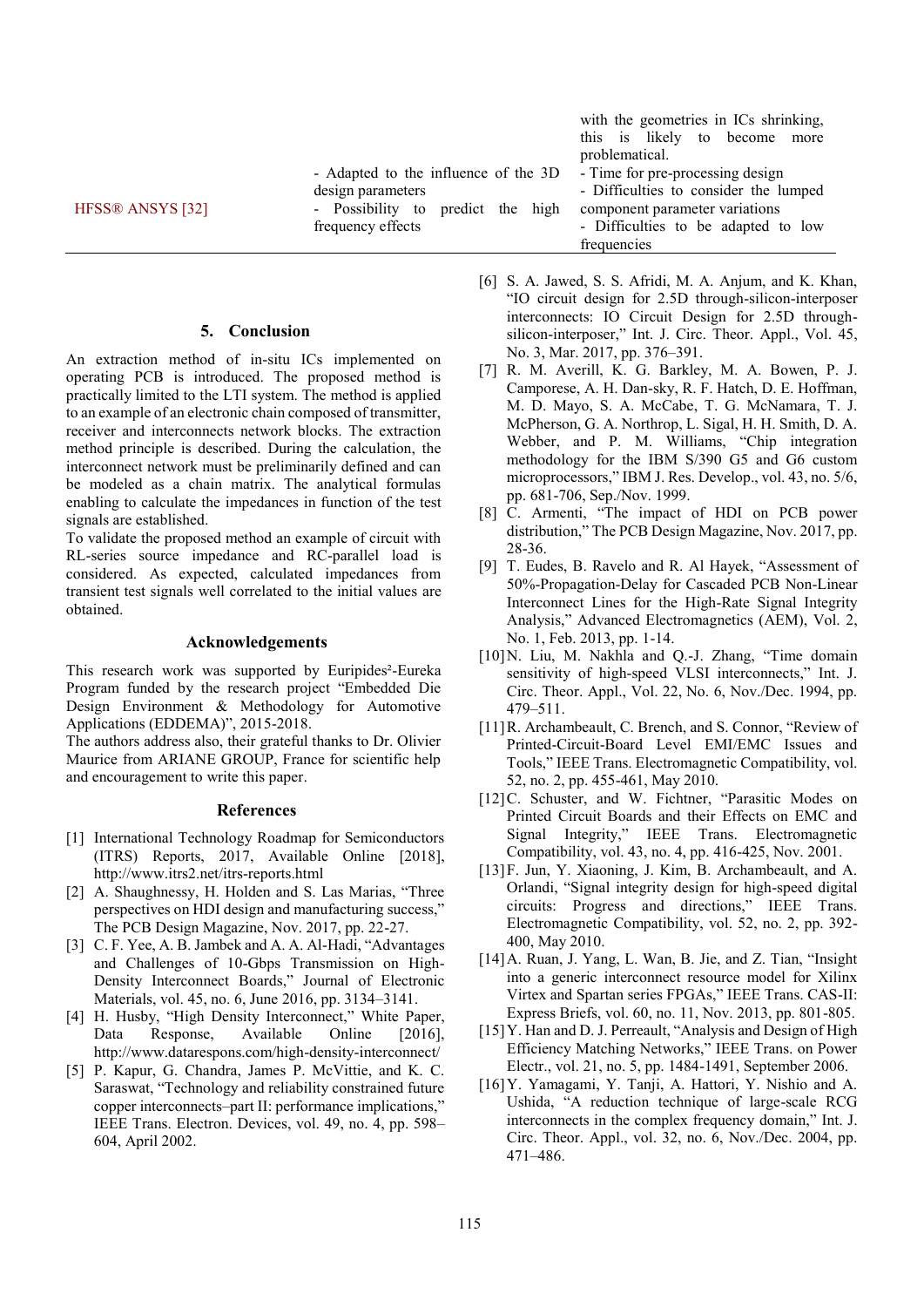|                                      |                                   | with the geometries in ICs shrinking,<br>this is likely to become |
|--------------------------------------|-----------------------------------|-------------------------------------------------------------------|
|                                      |                                   | more<br>problematical.                                            |
| - Adapted to the influence of the 3D |                                   | - Time for pre-processing design                                  |
|                                      | design parameters                 | - Difficulties to consider the lumped                             |
| HFSS® ANSYS [32]                     | - Possibility to predict the high | component parameter variations                                    |
|                                      | frequency effects                 | - Difficulties to be adapted to low                               |
|                                      |                                   | frequencies                                                       |

## **5. Conclusion**

An extraction method of in-situ ICs implemented on operating PCB is introduced. The proposed method is practically limited to the LTI system. The method is applied to an example of an electronic chain composed of transmitter, receiver and interconnects network blocks. The extraction method principle is described. During the calculation, the interconnect network must be preliminarily defined and can be modeled as a chain matrix. The analytical formulas enabling to calculate the impedances in function of the test signals are established.

To validate the proposed method an example of circuit with RL-series source impedance and RC-parallel load is considered. As expected, calculated impedances from transient test signals well correlated to the initial values are obtained.

#### **Acknowledgements**

This research work was supported by Euripides²-Eureka Program funded by the research project "Embedded Die Design Environment & Methodology for Automotive Applications (EDDEMA)", 2015-2018.

The authors address also, their grateful thanks to Dr. Olivier Maurice from ARIANE GROUP, France for scientific help and encouragement to write this paper.

#### **References**

- [1] International Technology Roadmap for Semiconductors (ITRS) Reports, 2017, Available Online [2018], http://www.itrs2.net/itrs-reports.html
- [2] A. Shaughnessy, H. Holden and S. Las Marias, "Three perspectives on HDI design and manufacturing success," The PCB Design Magazine, Nov. 2017, pp. 22-27.
- [3] C. F. Yee, A. B. Jambek and A. A. Al-Hadi, "Advantages and Challenges of 10-Gbps Transmission on High-Density Interconnect Boards," Journal of Electronic Materials, vol. 45, no. 6, June 2016, pp. 3134–3141.
- [4] H. Husby, "High Density Interconnect," White Paper, Data Response, Available Online [2016], http://www.datarespons.com/high-density-interconnect/
- [5] P. Kapur, G. Chandra, James P. McVittie, and K. C. Saraswat, "Technology and reliability constrained future copper interconnects–part II: performance implications," IEEE Trans. Electron. Devices, vol. 49, no. 4, pp. 598– 604, April 2002.
- [6] S. A. Jawed, S. S. Afridi, M. A. Anjum, and K. Khan, "IO circuit design for 2.5D through-silicon-interposer interconnects: IO Circuit Design for 2.5D throughsilicon-interposer," Int. J. Circ. Theor. Appl., Vol. 45, No. 3, Mar. 2017, pp. 376–391.
- [7] R. M. Averill, K. G. Barkley, M. A. Bowen, P. J. Camporese, A. H. Dan-sky, R. F. Hatch, D. E. Hoffman, M. D. Mayo, S. A. McCabe, T. G. McNamara, T. J. McPherson, G. A. Northrop, L. Sigal, H. H. Smith, D. A. Webber, and P. M. Williams, "Chip integration methodology for the IBM S/390 G5 and G6 custom microprocessors," IBM J. Res. Develop., vol. 43, no. 5/6, pp. 681-706, Sep./Nov. 1999.
- [8] C. Armenti, "The impact of HDI on PCB power distribution," The PCB Design Magazine, Nov. 2017, pp. 28-36.
- [9] T. Eudes, B. Ravelo and R. Al Hayek, "Assessment of 50%-Propagation-Delay for Cascaded PCB Non-Linear Interconnect Lines for the High-Rate Signal Integrity Analysis," Advanced Electromagnetics (AEM), Vol. 2, No. 1, Feb. 2013, pp. 1-14.
- [10] N. Liu, M. Nakhla and Q.-J. Zhang, "Time domain sensitivity of high-speed VLSI interconnects," Int. J. Circ. Theor. Appl., Vol. 22, No. 6, Nov./Dec. 1994, pp. 479–511.
- [11] R. Archambeault, C. Brench, and S. Connor, "Review of Printed-Circuit-Board Level EMI/EMC Issues and Tools," IEEE Trans. Electromagnetic Compatibility, vol. 52, no. 2, pp. 455-461, May 2010.
- [12]C. Schuster, and W. Fichtner, "Parasitic Modes on Printed Circuit Boards and their Effects on EMC and Signal Integrity," IEEE Trans. Electromagnetic Compatibility, vol. 43, no. 4, pp. 416-425, Nov. 2001.
- [13]F. Jun, Y. Xiaoning, J. Kim, B. Archambeault, and A. Orlandi, "Signal integrity design for high-speed digital circuits: Progress and directions," IEEE Trans. Electromagnetic Compatibility, vol. 52, no. 2, pp. 392- 400, May 2010.
- [14]A. Ruan, J. Yang, L. Wan, B. Jie, and Z. Tian, "Insight into a generic interconnect resource model for Xilinx Virtex and Spartan series FPGAs," IEEE Trans. CAS-II: Express Briefs, vol. 60, no. 11, Nov. 2013, pp. 801-805.
- [15] Y. Han and D. J. Perreault, "Analysis and Design of High Efficiency Matching Networks," IEEE Trans. on Power Electr., vol. 21, no. 5, pp. 1484-1491, September 2006.
- [16]Y. Yamagami, Y. Tanji, A. Hattori, Y. Nishio and A. Ushida, "A reduction technique of large-scale RCG interconnects in the complex frequency domain," Int. J. Circ. Theor. Appl., vol. 32, no. 6, Nov./Dec. 2004, pp. 471–486.